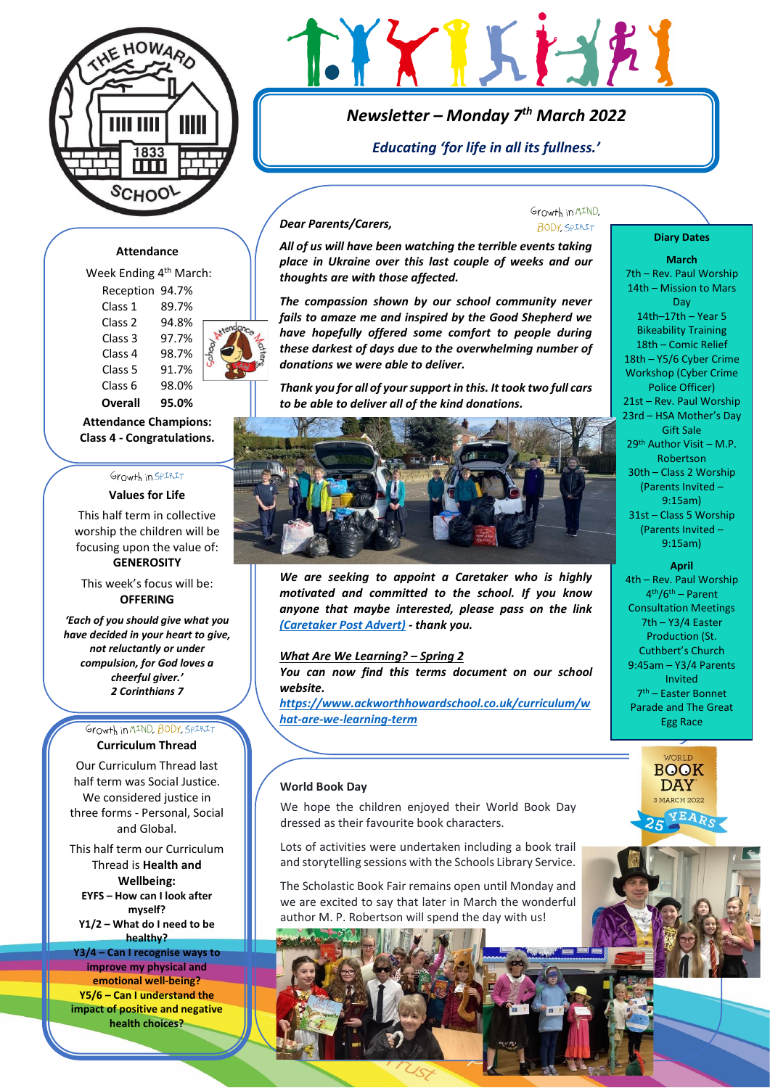

# LYXIKI-12

# *Newsletter – Monday 7 th March 2022*

*Educating 'for life in all its fullness.'*

## **Attendance**

| Week Ending 4 <sup>th</sup> March: |       |     |
|------------------------------------|-------|-----|
| Reception 94.7%                    |       |     |
| Class 1                            | 89.7% |     |
| Class <sub>2</sub>                 | 94.8% | end |
| Class <sub>3</sub>                 | 97.7% |     |
| Class 4                            | 98.7% |     |
| Class <sub>5</sub>                 | 91.7% |     |
| Class 6                            | 98.0% |     |
| <b>Overall</b>                     | 95.0% |     |
|                                    |       |     |

**Attendance Champions: Class 4 - Congratulations.**

# Growth in SPIRIT

# **Values for Life**

This half term in collective worship the children will be focusing upon the value of: **GENEROSITY**

This week's focus will be: **OFFERING**

*'Each of you should give what you have decided in your heart to give, not reluctantly or under compulsion, for God loves a cheerful giver.' 2 Corinthians 7*

#### Growth in MIND, BODY, SPIRIT **Curriculum Thread**

Our Curriculum Thread last half term was Social Justice. We considered justice in three forms - Personal, Social and Global.

This half term our Curriculum Thread is **Health and Wellbeing: EYFS – How can I look after myself? Y1/2 – What do I need to be** 

**healthy? Y3/4 – Can I recognise ways to improve my physical and emotional well-being? Y5/6 – Can I understand the impact of positive and negative health choices?**

## *Dear Parents/Carers,*

*All of us will have been watching the terrible events taking place in Ukraine over this last couple of weeks and our thoughts are with those affected.* 

*The compassion shown by our school community never fails to amaze me and inspired by the Good Shepherd we have hopefully offered some comfort to people during these darkest of days due to the overwhelming number of donations we were able to deliver.*

*Thank you for all of your support in this. It took two full cars to be able to deliver all of the kind donations.*



*We are seeking to appoint a Caretaker who is highly motivated and committed to the school. If you know anyone that maybe interested, please pass on the link [\(Caretaker Post Advert\)](https://wamdcli.webitrent.com/wamdcli_webrecruitment/wrd/run/ETREC107GF.open?VACANCY_ID=bOLl378155&WVID=X3c9552939&LANG=USA) - thank you.*

#### *What Are We Learning? – Spring 2*

*You can now find this terms document on our school website.* 

*[https://www.ackworthhowardschool.co.uk/curriculum/w](https://www.ackworthhowardschool.co.uk/curriculum/what-are-we-learning-term) [hat-are-we-learning-term](https://www.ackworthhowardschool.co.uk/curriculum/what-are-we-learning-term)*

#### **World Book Day**

We hope the children enjoyed their World Book Day dressed as their favourite book characters.

Lots of activities were undertaken including a book trail and storytelling sessions with the Schools Library Service.

The Scholastic Book Fair remains open until Monday and we are excited to say that later in March the wonderful author M. P. Robertson will spend the day with us!

#### Growth in MIND. **BODY**, SPIRIT

#### **Diary Dates**

**March** 7th – Rev. Paul Worship 14th – Mission to Mars Day 14th–17th – Year 5 Bikeability Training 18th – Comic Relief 18th – Y5/6 Cyber Crime Workshop (Cyber Crime Police Officer) 21st – Rev. Paul Worship 23rd – HSA Mother's Day Gift Sale 29th Author Visit – M.P. Robertson 30th – Class 2 Worship (Parents Invited – 9:15am) 31st – Class 5 Worship (Parents Invited – 9:15am) **April**

4th – Rev. Paul Worship 4 th/6th – Parent Consultation Meetings 7th – Y3/4 Easter Production (St. Cuthbert's Church 9:45am – Y3/4 Parents Invited 7 th – Easter Bonnet Parade and The Great Egg Race